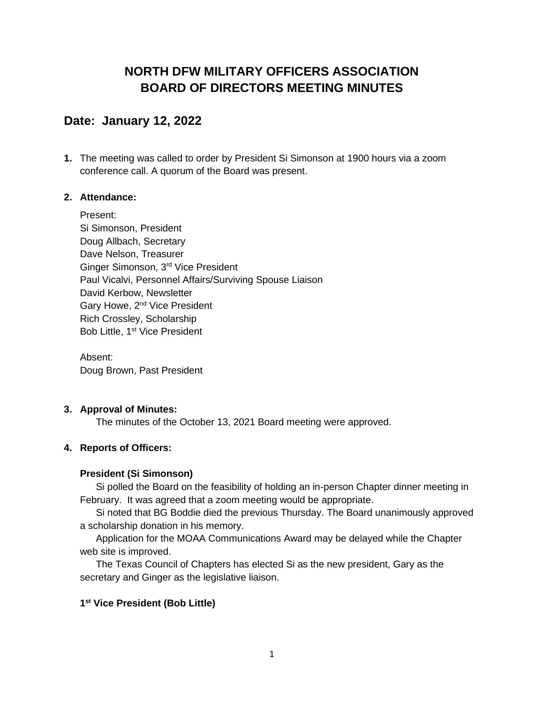## **NORTH DFW MILITARY OFFICERS ASSOCIATION BOARD OF DIRECTORS MEETING MINUTES**

## **Date: January 12, 2022**

**1.** The meeting was called to order by President Si Simonson at 1900 hours via a zoom conference call. A quorum of the Board was present.

## **2. Attendance:**

Present: Si Simonson, President Doug Allbach, Secretary Dave Nelson, Treasurer Ginger Simonson, 3rd Vice President Paul Vicalvi, Personnel Affairs/Surviving Spouse Liaison David Kerbow, Newsletter Gary Howe, 2<sup>nd</sup> Vice President Rich Crossley, Scholarship Bob Little, 1<sup>st</sup> Vice President

Absent: Doug Brown, Past President

## **3. Approval of Minutes:**

The minutes of the October 13, 2021 Board meeting were approved.

## **4. Reports of Officers:**

## **President (Si Simonson)**

Si polled the Board on the feasibility of holding an in-person Chapter dinner meeting in February. It was agreed that a zoom meeting would be appropriate.

Si noted that BG Boddie died the previous Thursday. The Board unanimously approved a scholarship donation in his memory.

Application for the MOAA Communications Award may be delayed while the Chapter web site is improved.

The Texas Council of Chapters has elected Si as the new president, Gary as the secretary and Ginger as the legislative liaison.

## **1 st Vice President (Bob Little)**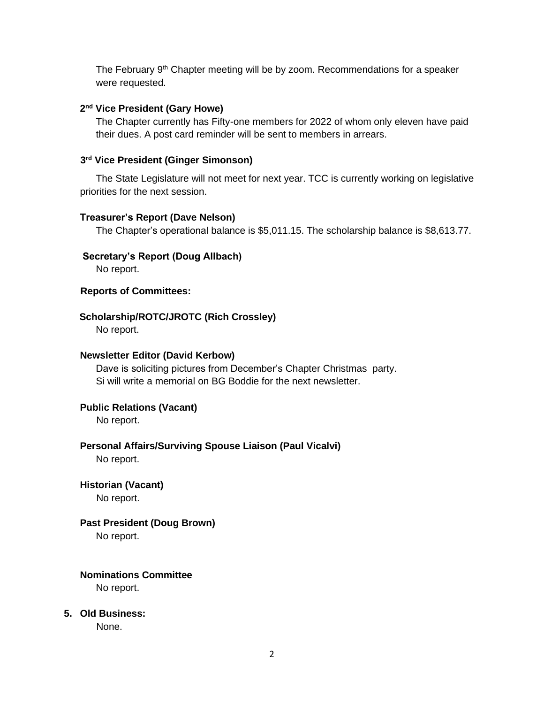The February 9<sup>th</sup> Chapter meeting will be by zoom. Recommendations for a speaker were requested.

#### **2 nd Vice President (Gary Howe)**

The Chapter currently has Fifty-one members for 2022 of whom only eleven have paid their dues. A post card reminder will be sent to members in arrears.

#### **3 rd Vice President (Ginger Simonson)**

The State Legislature will not meet for next year. TCC is currently working on legislative priorities for the next session.

#### **Treasurer's Report (Dave Nelson)**

The Chapter's operational balance is \$5,011.15. The scholarship balance is \$8,613.77.

#### **Secretary's Report (Doug Allbach)**

No report.

#### **Reports of Committees:**

#### **Scholarship/ROTC/JROTC (Rich Crossley)**

No report.

#### **Newsletter Editor (David Kerbow)**

Dave is soliciting pictures from December's Chapter Christmas party. Si will write a memorial on BG Boddie for the next newsletter.

## **Public Relations (Vacant)**

No report.

## **Personal Affairs/Surviving Spouse Liaison (Paul Vicalvi)**

No report.

## **Historian (Vacant)**

No report.

## **Past President (Doug Brown)**

No report.

# **Nominations Committee**

No report.

## **5. Old Business:**

None.